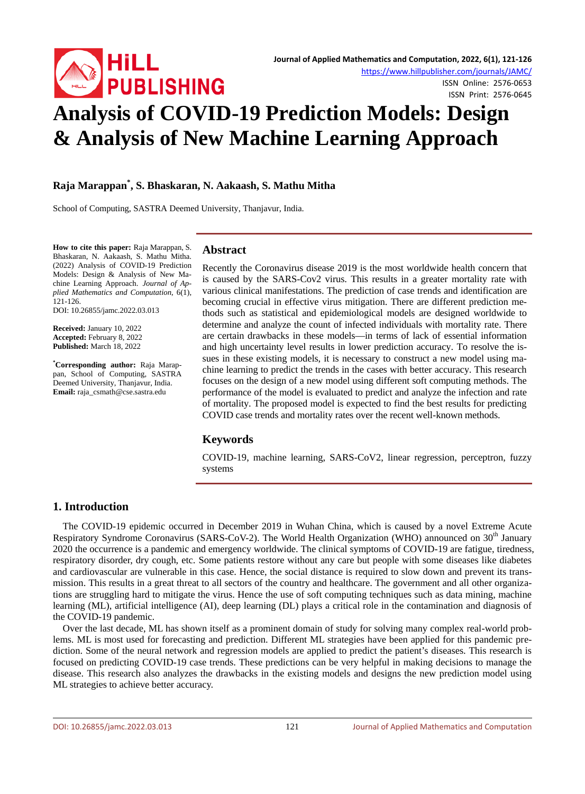

ISSN Online: 2576-0653 ISSN Print: 2576-0645

# **Analysis of COVID-19 Prediction Models: Design & Analysis of New Machine Learning Approach**

# **Raja Marappan\* , S. Bhaskaran, N. Aakaash, S. Mathu Mitha**

School of Computing, SASTRA Deemed University, Thanjavur, India.

**How to cite this paper:** Raja Marappan, S. Bhaskaran, N. Aakaash, S. Mathu Mitha. (2022) Analysis of COVID-19 Prediction Models: Design & Analysis of New Machine Learning Approach. *Journal of Applied Mathematics and Computation*, 6(1), 121-126.

DOI: 10.26855/jamc.2022.03.013

**Received:** January 10, 2022 **Accepted:** February 8, 2022 **Published:** March 18, 2022

**\* Corresponding author:** Raja Marappan, School of Computing, SASTRA Deemed University, Thanjavur, India. **Email:** raja\_csmath@cse.sastra.edu

# **Abstract**

Recently the Coronavirus disease 2019 is the most worldwide health concern that is caused by the SARS-Cov2 virus. This results in a greater mortality rate with various clinical manifestations. The prediction of case trends and identification are becoming crucial in effective virus mitigation. There are different prediction methods such as statistical and epidemiological models are designed worldwide to determine and analyze the count of infected individuals with mortality rate. There are certain drawbacks in these models—in terms of lack of essential information and high uncertainty level results in lower prediction accuracy. To resolve the issues in these existing models, it is necessary to construct a new model using machine learning to predict the trends in the cases with better accuracy. This research focuses on the design of a new model using different soft computing methods. The performance of the model is evaluated to predict and analyze the infection and rate of mortality. The proposed model is expected to find the best results for predicting COVID case trends and mortality rates over the recent well-known methods.

# **Keywords**

COVID-19, machine learning, SARS-CoV2, linear regression, perceptron, fuzzy systems

# **1. Introduction**

The COVID-19 epidemic occurred in December 2019 in Wuhan China, which is caused by a novel Extreme Acute Respiratory Syndrome Coronavirus (SARS-CoV-2). The World Health Organization (WHO) announced on 30<sup>th</sup> January 2020 the occurrence is a pandemic and emergency worldwide. The clinical symptoms of COVID-19 are fatigue, tiredness, respiratory disorder, dry cough, etc. Some patients restore without any care but people with some diseases like diabetes and cardiovascular are vulnerable in this case. Hence, the social distance is required to slow down and prevent its transmission. This results in a great threat to all sectors of the country and healthcare. The government and all other organizations are struggling hard to mitigate the virus. Hence the use of soft computing techniques such as data mining, machine learning (ML), artificial intelligence (AI), deep learning (DL) plays a critical role in the contamination and diagnosis of the COVID-19 pandemic.

Over the last decade, ML has shown itself as a prominent domain of study for solving many complex real-world problems. ML is most used for forecasting and prediction. Different ML strategies have been applied for this pandemic prediction. Some of the neural network and regression models are applied to predict the patient's diseases. This research is focused on predicting COVID-19 case trends. These predictions can be very helpful in making decisions to manage the disease. This research also analyzes the drawbacks in the existing models and designs the new prediction model using ML strategies to achieve better accuracy.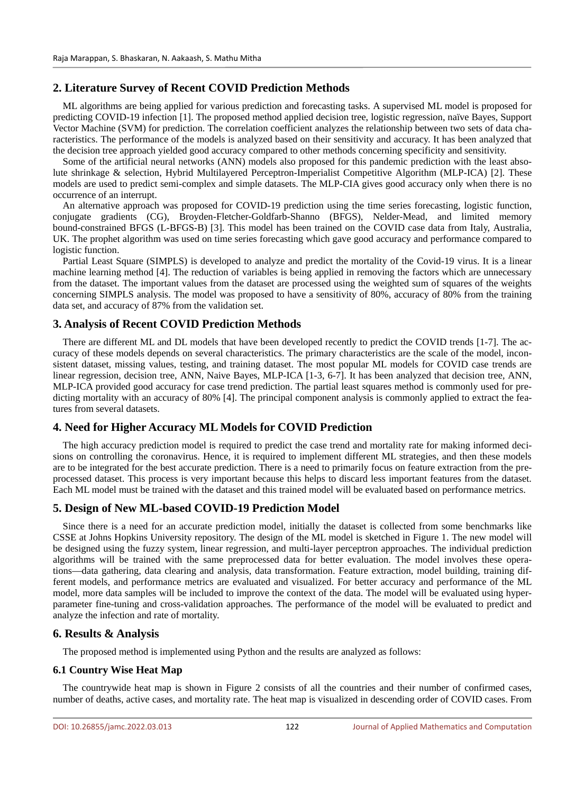# **2. Literature Survey of Recent COVID Prediction Methods**

ML algorithms are being applied for various prediction and forecasting tasks. A supervised ML model is proposed for predicting COVID-19 infection [1]. The proposed method applied decision tree, logistic regression, naïve Bayes, Support Vector Machine (SVM) for prediction. The correlation coefficient analyzes the relationship between two sets of data characteristics. The performance of the models is analyzed based on their sensitivity and accuracy. It has been analyzed that the decision tree approach yielded good accuracy compared to other methods concerning specificity and sensitivity.

Some of the artificial neural networks (ANN) models also proposed for this pandemic prediction with the least absolute shrinkage & selection, Hybrid Multilayered Perceptron-Imperialist Competitive Algorithm (MLP-ICA) [2]. These models are used to predict semi-complex and simple datasets. The MLP-CIA gives good accuracy only when there is no occurrence of an interrupt.

An alternative approach was proposed for COVID-19 prediction using the time series forecasting, logistic function, conjugate gradients (CG), Broyden-Fletcher-Goldfarb-Shanno (BFGS), Nelder-Mead, and limited memory bound-constrained BFGS (L-BFGS-B) [3]. This model has been trained on the COVID case data from Italy, Australia, UK. The prophet algorithm was used on time series forecasting which gave good accuracy and performance compared to logistic function.

Partial Least Square (SIMPLS) is developed to analyze and predict the mortality of the Covid-19 virus. It is a linear machine learning method [4]. The reduction of variables is being applied in removing the factors which are unnecessary from the dataset. The important values from the dataset are processed using the weighted sum of squares of the weights concerning SIMPLS analysis. The model was proposed to have a sensitivity of 80%, accuracy of 80% from the training data set, and accuracy of 87% from the validation set.

# **3. Analysis of Recent COVID Prediction Methods**

There are different ML and DL models that have been developed recently to predict the COVID trends [1-7]. The accuracy of these models depends on several characteristics. The primary characteristics are the scale of the model, inconsistent dataset, missing values, testing, and training dataset. The most popular ML models for COVID case trends are linear regression, decision tree, ANN, Naive Bayes, MLP-ICA [1-3, 6-7]. It has been analyzed that decision tree, ANN, MLP-ICA provided good accuracy for case trend prediction. The partial least squares method is commonly used for predicting mortality with an accuracy of 80% [4]. The principal component analysis is commonly applied to extract the features from several datasets.

# **4. Need for Higher Accuracy ML Models for COVID Prediction**

The high accuracy prediction model is required to predict the case trend and mortality rate for making informed decisions on controlling the coronavirus. Hence, it is required to implement different ML strategies, and then these models are to be integrated for the best accurate prediction. There is a need to primarily focus on feature extraction from the preprocessed dataset. This process is very important because this helps to discard less important features from the dataset. Each ML model must be trained with the dataset and this trained model will be evaluated based on performance metrics.

# **5. Design of New ML-based COVID-19 Prediction Model**

Since there is a need for an accurate prediction model, initially the dataset is collected from some benchmarks like CSSE at Johns Hopkins University repository. The design of the ML model is sketched in Figure 1. The new model will be designed using the fuzzy system, linear regression, and multi-layer perceptron approaches. The individual prediction algorithms will be trained with the same preprocessed data for better evaluation. The model involves these operations—data gathering, data clearing and analysis, data transformation. Feature extraction, model building, training different models, and performance metrics are evaluated and visualized. For better accuracy and performance of the ML model, more data samples will be included to improve the context of the data. The model will be evaluated using hyperparameter fine-tuning and cross-validation approaches. The performance of the model will be evaluated to predict and analyze the infection and rate of mortality.

# **6. Results & Analysis**

The proposed method is implemented using Python and the results are analyzed as follows:

#### **6.1 Country Wise Heat Map**

The countrywide heat map is shown in Figure 2 consists of all the countries and their number of confirmed cases, number of deaths, active cases, and mortality rate. The heat map is visualized in descending order of COVID cases. From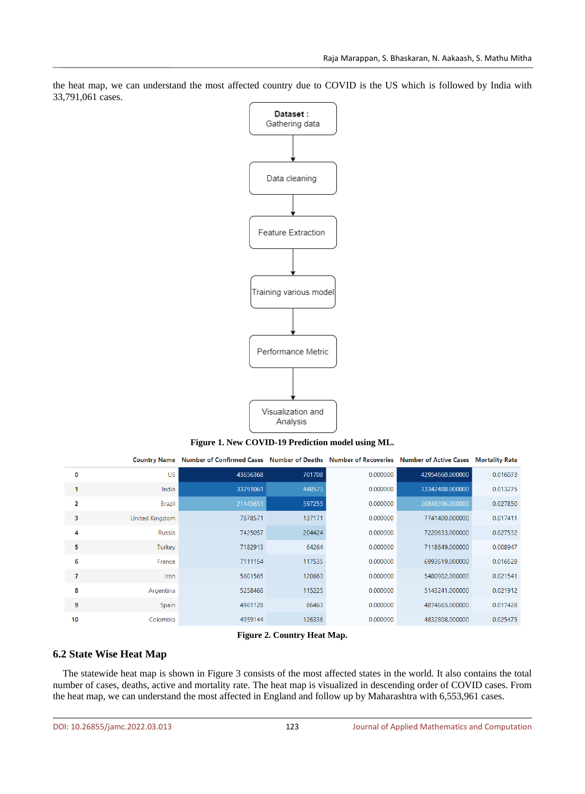

the heat map, we can understand the most affected country due to COVID is the US which is followed by India with 33,791,061 cases.

#### **Figure 1. New COVID-19 Prediction model using ML.**

|    | <b>Country Name</b>   | Number of Confirmed Cases Number of Deaths Number of Recoveries Number of Active Cases Mortality Rate |        |          |                 |          |
|----|-----------------------|-------------------------------------------------------------------------------------------------------|--------|----------|-----------------|----------|
| 0  | <b>US</b>             | 43656368                                                                                              | 701708 | 0.000000 | 42954660.000000 | 0.016073 |
|    | India                 | 33791061                                                                                              | 448573 | 0.000000 | 33342488.000000 | 0.013275 |
| 2  | <b>Brazil</b>         | 21445651                                                                                              | 597255 | 0.000000 | 20848396.000000 | 0.027850 |
| з  | <b>United Kingdom</b> | 7878571                                                                                               | 137171 | 0.000000 | 7741400.000000  | 0.017411 |
| 4  | Russia                | 7425057                                                                                               | 204424 | 0.000000 | 7220633.000000  | 0.027532 |
| 5. | Turkey                | 7182913                                                                                               | 64264  | 0.000000 | 7118649.000000  | 0.008947 |
| 6  | France                | 7111154                                                                                               | 117535 | 0.000000 | 6993619.000000  | 0.016528 |
| 7  | Iran                  | 5601565                                                                                               | 120663 | 0.000000 | 5480902.000000  | 0.021541 |
| 8  | Argentina             | 5258466                                                                                               | 115225 | 0.000000 | 5143241.000000  | 0.021912 |
| 9  | Spain                 | 4961128                                                                                               | 86463  | 0.000000 | 4874665.000000  | 0.017428 |
| 10 | Colombia              | 4959144                                                                                               | 126336 | 0.000000 | 4832808.000000  | 0.025475 |

#### **Figure 2. Country Heat Map.**

# **6.2 State Wise Heat Map**

The statewide heat map is shown in Figure 3 consists of the most affected states in the world. It also contains the total number of cases, deaths, active and mortality rate. The heat map is visualized in descending order of COVID cases. From the heat map, we can understand the most affected in England and follow up by Maharashtra with 6,553,961 cases.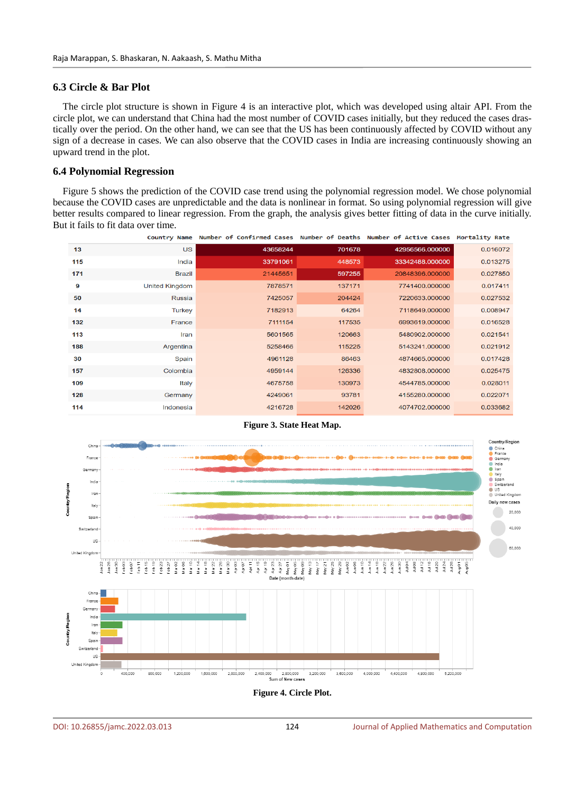#### **6.3 Circle & Bar Plot**

The circle plot structure is shown in Figure 4 is an interactive plot, which was developed using altair API. From the circle plot, we can understand that China had the most number of COVID cases initially, but they reduced the cases drastically over the period. On the other hand, we can see that the US has been continuously affected by COVID without any sign of a decrease in cases. We can also observe that the COVID cases in India are increasing continuously showing an upward trend in the plot.

#### **6.4 Polynomial Regression**

Figure 5 shows the prediction of the COVID case trend using the polynomial regression model. We chose polynomial because the COVID cases are unpredictable and the data is nonlinear in format. So using polynomial regression will give better results compared to linear regression. From the graph, the analysis gives better fitting of data in the curve initially. But it fails to fit data over time.

|     |                       | Country Name Number of Confirmed Cases Number of Deaths Number of Active Cases Mortality Rate |        |                 |          |
|-----|-----------------------|-----------------------------------------------------------------------------------------------|--------|-----------------|----------|
| 13  | <b>US</b>             | 43658244                                                                                      | 701678 | 42956566.000000 | 0.016072 |
| 115 | India                 | 33791061                                                                                      | 448573 | 33342488.000000 | 0.013275 |
| 171 | <b>Brazil</b>         | 21445651                                                                                      | 597255 | 20848396.000000 | 0.027850 |
| 9   | <b>United Kingdom</b> | 7878571                                                                                       | 137171 | 7741400.000000  | 0.017411 |
| 50  | <b>Russia</b>         | 7425057                                                                                       | 204424 | 7220633.000000  | 0.027532 |
| 14  | <b>Turkey</b>         | 7182913                                                                                       | 64264  | 7118649.000000  | 0.008947 |
| 132 | France                | 7111154                                                                                       | 117535 | 6993619.000000  | 0.016528 |
| 113 | Iran                  | 5601565                                                                                       | 120663 | 5480902.000000  | 0.021541 |
| 188 | Argentina             | 5258466                                                                                       | 115225 | 5143241.000000  | 0.021912 |
| 30  | Spain                 | 4961128                                                                                       | 86463  | 4874665.000000  | 0.017428 |
| 157 | Colombia              | 4959144                                                                                       | 126336 | 4832808.000000  | 0.025475 |
| 109 | Italy                 | 4675758                                                                                       | 130973 | 4544785.000000  | 0.028011 |
| 128 | Germany               | 4249061                                                                                       | 93781  | 4155280.000000  | 0.022071 |
| 114 | Indonesia             | 4216728                                                                                       | 142026 | 4074702.000000  | 0.033682 |



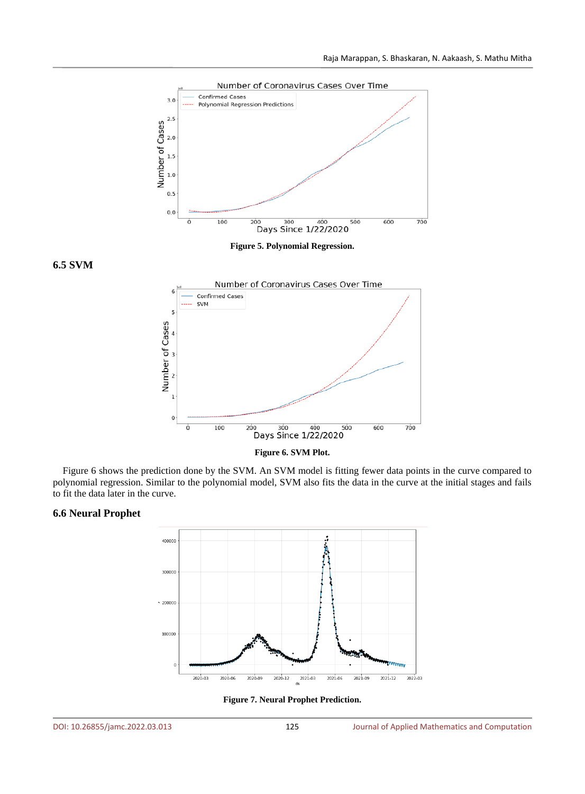

**Figure 5. Polynomial Regression.**

**6.5 SVM** 





Figure 6 shows the prediction done by the SVM. An SVM model is fitting fewer data points in the curve compared to polynomial regression. Similar to the polynomial model, SVM also fits the data in the curve at the initial stages and fails to fit the data later in the curve.

# **6.6 Neural Prophet**



**Figure 7. Neural Prophet Prediction.**